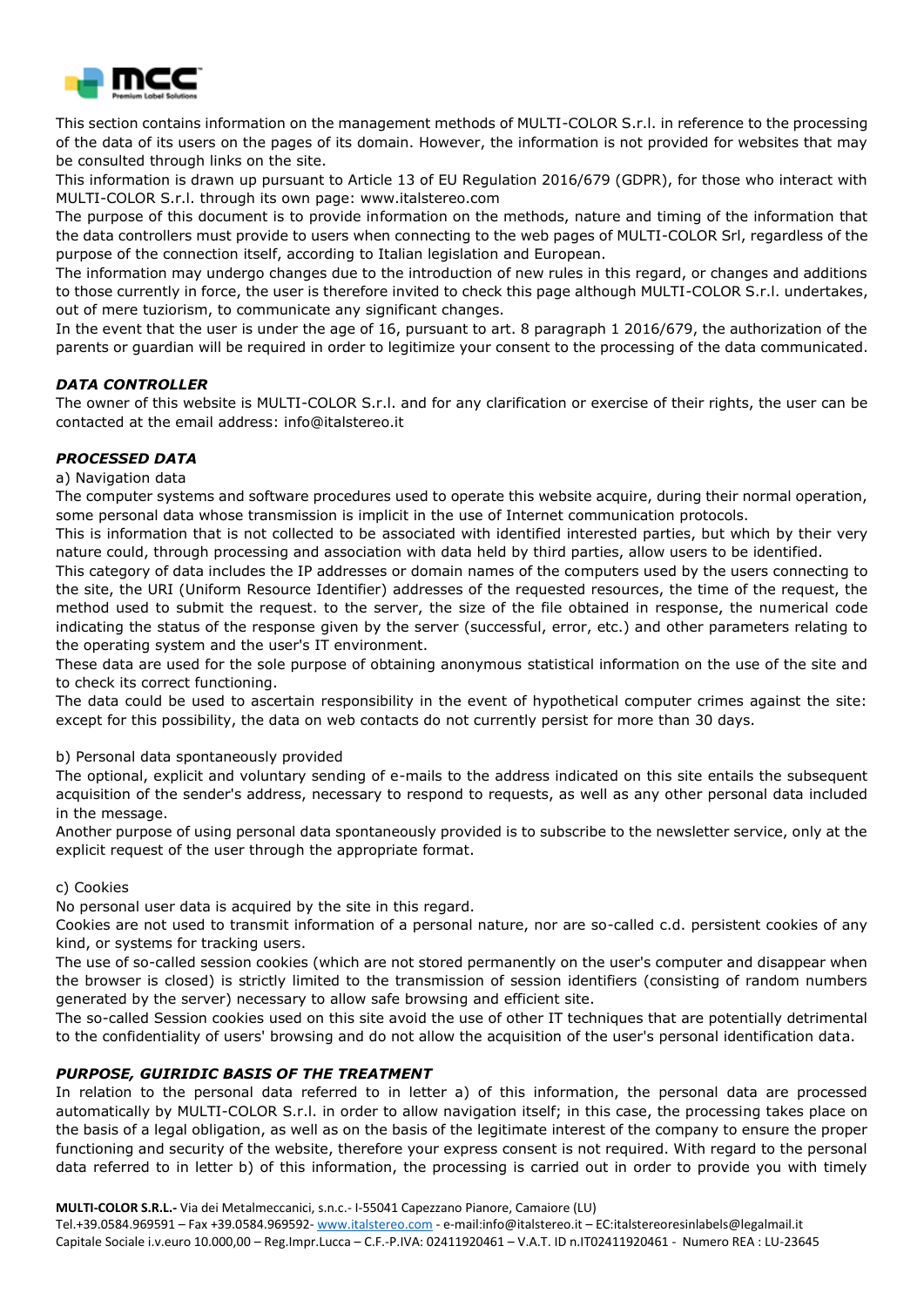

This section contains information on the management methods of MULTI-COLOR S.r.l. in reference to the processing of the data of its users on the pages of its domain. However, the information is not provided for websites that may be consulted through links on the site.

This information is drawn up pursuant to Article 13 of EU Regulation 2016/679 (GDPR), for those who interact with MULTI-COLOR S.r.l. through its own page: www.italstereo.com

The purpose of this document is to provide information on the methods, nature and timing of the information that the data controllers must provide to users when connecting to the web pages of MULTI-COLOR Srl, regardless of the purpose of the connection itself, according to Italian legislation and European.

The information may undergo changes due to the introduction of new rules in this regard, or changes and additions to those currently in force, the user is therefore invited to check this page although MULTI-COLOR S.r.l. undertakes, out of mere tuziorism, to communicate any significant changes.

In the event that the user is under the age of 16, pursuant to art. 8 paragraph 1 2016/679, the authorization of the parents or guardian will be required in order to legitimize your consent to the processing of the data communicated.

## *DATA CONTROLLER*

The owner of this website is MULTI-COLOR S.r.l. and for any clarification or exercise of their rights, the user can be contacted at the email address: info@italstereo.it

## *PROCESSED DATA*

#### a) Navigation data

The computer systems and software procedures used to operate this website acquire, during their normal operation, some personal data whose transmission is implicit in the use of Internet communication protocols.

This is information that is not collected to be associated with identified interested parties, but which by their very nature could, through processing and association with data held by third parties, allow users to be identified.

This category of data includes the IP addresses or domain names of the computers used by the users connecting to the site, the URI (Uniform Resource Identifier) addresses of the requested resources, the time of the request, the method used to submit the request. to the server, the size of the file obtained in response, the numerical code indicating the status of the response given by the server (successful, error, etc.) and other parameters relating to the operating system and the user's IT environment.

These data are used for the sole purpose of obtaining anonymous statistical information on the use of the site and to check its correct functioning.

The data could be used to ascertain responsibility in the event of hypothetical computer crimes against the site: except for this possibility, the data on web contacts do not currently persist for more than 30 days.

b) Personal data spontaneously provided

The optional, explicit and voluntary sending of e-mails to the address indicated on this site entails the subsequent acquisition of the sender's address, necessary to respond to requests, as well as any other personal data included in the message.

Another purpose of using personal data spontaneously provided is to subscribe to the newsletter service, only at the explicit request of the user through the appropriate format.

#### c) Cookies

No personal user data is acquired by the site in this regard.

Cookies are not used to transmit information of a personal nature, nor are so-called c.d. persistent cookies of any kind, or systems for tracking users.

The use of so-called session cookies (which are not stored permanently on the user's computer and disappear when the browser is closed) is strictly limited to the transmission of session identifiers (consisting of random numbers generated by the server) necessary to allow safe browsing and efficient site.

The so-called Session cookies used on this site avoid the use of other IT techniques that are potentially detrimental to the confidentiality of users' browsing and do not allow the acquisition of the user's personal identification data.

#### *PURPOSE, GUIRIDIC BASIS OF THE TREATMENT*

In relation to the personal data referred to in letter a) of this information, the personal data are processed automatically by MULTI-COLOR S.r.l. in order to allow navigation itself; in this case, the processing takes place on the basis of a legal obligation, as well as on the basis of the legitimate interest of the company to ensure the proper functioning and security of the website, therefore your express consent is not required. With regard to the personal data referred to in letter b) of this information, the processing is carried out in order to provide you with timely

**MULTI-COLOR S.R.L.-** Via dei Metalmeccanici, s.n.c.- I-55041 Capezzano Pianore, Camaiore (LU)

Tel.+39.0584.969591 – Fax +39.0584.969592- [www.italstereo.com](http://www.italstereo.com/) - e-mail:info@italstereo.it – EC:italstereoresinlabels@legalmail.it Capitale Sociale i.v.euro 10.000,00 – Reg.Impr.Lucca – C.F.-P.IVA: 02411920461 – V.A.T. ID n.IT02411920461 - Numero REA : LU-23645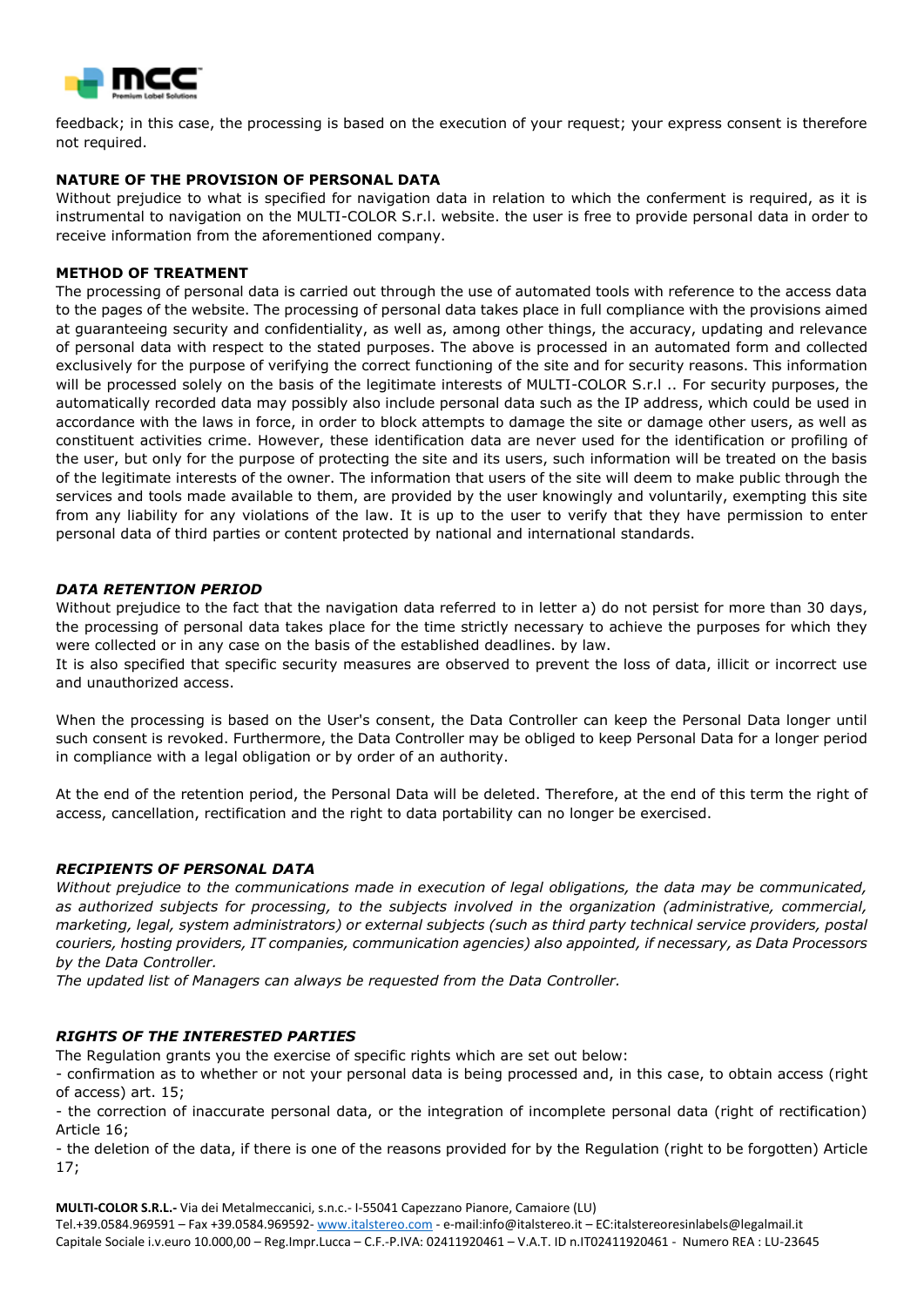

feedback; in this case, the processing is based on the execution of your request; your express consent is therefore not required.

# **NATURE OF THE PROVISION OF PERSONAL DATA**

Without prejudice to what is specified for navigation data in relation to which the conferment is required, as it is instrumental to navigation on the MULTI-COLOR S.r.l. website. the user is free to provide personal data in order to receive information from the aforementioned company.

#### **METHOD OF TREATMENT**

The processing of personal data is carried out through the use of automated tools with reference to the access data to the pages of the website. The processing of personal data takes place in full compliance with the provisions aimed at guaranteeing security and confidentiality, as well as, among other things, the accuracy, updating and relevance of personal data with respect to the stated purposes. The above is processed in an automated form and collected exclusively for the purpose of verifying the correct functioning of the site and for security reasons. This information will be processed solely on the basis of the legitimate interests of MULTI-COLOR S.r.l .. For security purposes, the automatically recorded data may possibly also include personal data such as the IP address, which could be used in accordance with the laws in force, in order to block attempts to damage the site or damage other users, as well as constituent activities crime. However, these identification data are never used for the identification or profiling of the user, but only for the purpose of protecting the site and its users, such information will be treated on the basis of the legitimate interests of the owner. The information that users of the site will deem to make public through the services and tools made available to them, are provided by the user knowingly and voluntarily, exempting this site from any liability for any violations of the law. It is up to the user to verify that they have permission to enter personal data of third parties or content protected by national and international standards.

## *DATA RETENTION PERIOD*

Without prejudice to the fact that the navigation data referred to in letter a) do not persist for more than 30 days, the processing of personal data takes place for the time strictly necessary to achieve the purposes for which they were collected or in any case on the basis of the established deadlines. by law.

It is also specified that specific security measures are observed to prevent the loss of data, illicit or incorrect use and unauthorized access.

When the processing is based on the User's consent, the Data Controller can keep the Personal Data longer until such consent is revoked. Furthermore, the Data Controller may be obliged to keep Personal Data for a longer period in compliance with a legal obligation or by order of an authority.

At the end of the retention period, the Personal Data will be deleted. Therefore, at the end of this term the right of access, cancellation, rectification and the right to data portability can no longer be exercised.

#### *RECIPIENTS OF PERSONAL DATA*

*Without prejudice to the communications made in execution of legal obligations, the data may be communicated, as authorized subjects for processing, to the subjects involved in the organization (administrative, commercial, marketing, legal, system administrators) or external subjects (such as third party technical service providers, postal couriers, hosting providers, IT companies, communication agencies) also appointed, if necessary, as Data Processors by the Data Controller.*

*The updated list of Managers can always be requested from the Data Controller.*

#### *RIGHTS OF THE INTERESTED PARTIES*

The Regulation grants you the exercise of specific rights which are set out below:

- confirmation as to whether or not your personal data is being processed and, in this case, to obtain access (right of access) art. 15;

- the correction of inaccurate personal data, or the integration of incomplete personal data (right of rectification) Article 16;

- the deletion of the data, if there is one of the reasons provided for by the Regulation (right to be forgotten) Article 17;

**MULTI-COLOR S.R.L.-** Via dei Metalmeccanici, s.n.c.- I-55041 Capezzano Pianore, Camaiore (LU) Tel.+39.0584.969591 – Fax +39.0584.969592- [www.italstereo.com](http://www.italstereo.com/) - e-mail:info@italstereo.it – EC:italstereoresinlabels@legalmail.it Capitale Sociale i.v.euro 10.000,00 – Reg.Impr.Lucca – C.F.-P.IVA: 02411920461 – V.A.T. ID n.IT02411920461 - Numero REA : LU-23645